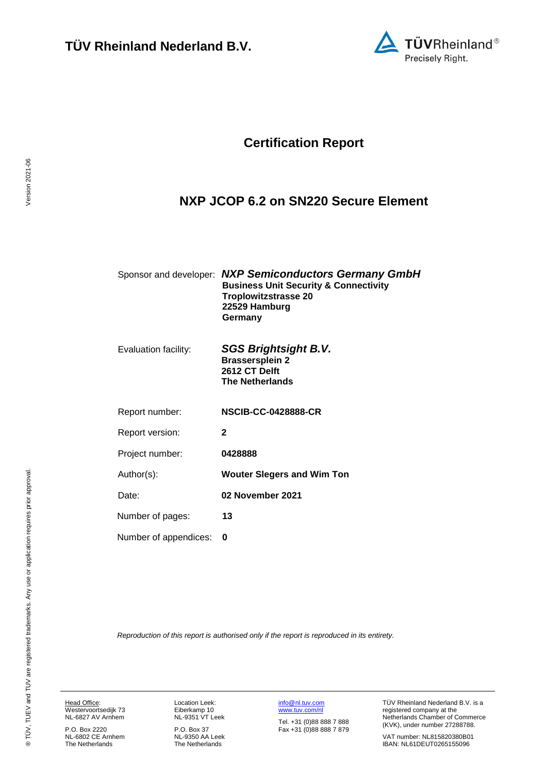

## **Certification Report**

## <span id="page-0-4"></span><span id="page-0-3"></span>**NXP JCOP 6.2 on SN220 Secure Element**

<span id="page-0-1"></span><span id="page-0-0"></span>

|                       | Sponsor and developer: NXP Semiconductors Germany GmbH<br><b>Business Unit Security &amp; Connectivity</b><br><b>Troplowitzstrasse 20</b><br>22529 Hamburg<br>Germany |
|-----------------------|-----------------------------------------------------------------------------------------------------------------------------------------------------------------------|
| Evaluation facility:  | SGS Brightsight B.V.<br><b>Brassersplein 2</b><br>2612 CT Delft<br><b>The Netherlands</b>                                                                             |
| Report number:        | <b>NSCIB-CC-0428888-CR</b>                                                                                                                                            |
| Report version:       | 2                                                                                                                                                                     |
| Project number:       | 0428888                                                                                                                                                               |
| Author(s):            | <b>Wouter Slegers and Wim Ton</b>                                                                                                                                     |
| Date:                 | 02 November 2021                                                                                                                                                      |
| Number of pages:      | 13                                                                                                                                                                    |
| Number of appendices: | 0                                                                                                                                                                     |
|                       |                                                                                                                                                                       |

<span id="page-0-2"></span>*Reproduction of this report is authorised only if the report is reproduced in its entirety.*

Head Office: Westervoortsedijk 73 NL-6827 AV Arnhem

P.O. Box 2220 NL-6802 CE Arnhem The Netherlands Location Leek: Eiberkamp 10 NL-9351 VT Leek

P.O. Box 37 NL-9350 AA Leek The Netherlands [info@nl.tuv.com](mailto:info@nl.tuv.com) [www.tuv.com/nl](http://www.tuv.com/nl)

Tel. +31 (0)88 888 7 888 Fax +31 (0)88 888 7 879 TÜV Rheinland Nederland B.V. is a registered company at the Netherlands Chamber of Commerce (KVK), under number 27288788.

VAT number: NL815820380B01 IBAN: NL61DEUT0265155096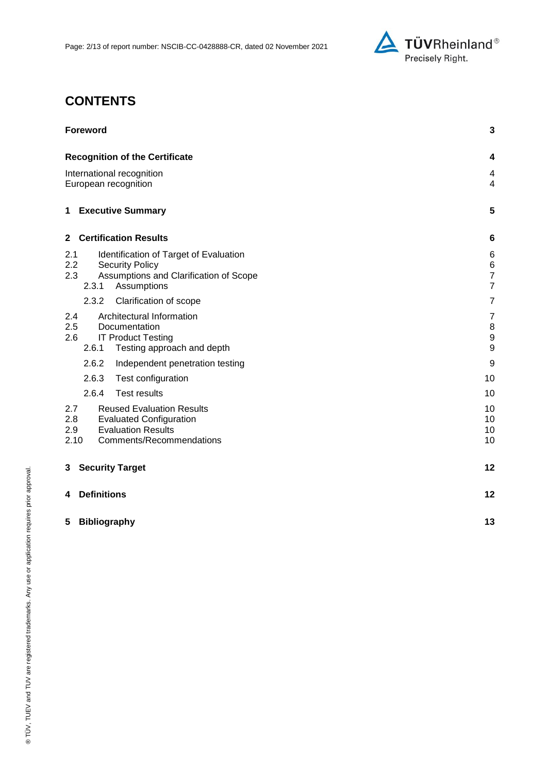

## **CONTENTS**

| <b>Foreword</b>                                                                                                                                          | 3                                                         |
|----------------------------------------------------------------------------------------------------------------------------------------------------------|-----------------------------------------------------------|
| <b>Recognition of the Certificate</b>                                                                                                                    | 4                                                         |
| International recognition<br>European recognition                                                                                                        | 4<br>$\overline{4}$                                       |
| 1 Executive Summary                                                                                                                                      | 5                                                         |
| <b>Certification Results</b><br>$\mathbf{2}$                                                                                                             | 6                                                         |
| Identification of Target of Evaluation<br>2.1<br>2.2<br><b>Security Policy</b><br>2.3<br>Assumptions and Clarification of Scope<br>2.3.1<br>Assumptions  | 6<br>$\,6$<br>$\overline{7}$<br>$\overline{7}$            |
| 2.3.2<br>Clarification of scope                                                                                                                          | $\overline{7}$                                            |
| Architectural Information<br>2.4<br>2.5<br>Documentation<br><b>IT Product Testing</b><br>2.6<br>2.6.1<br>Testing approach and depth                      | $\overline{7}$<br>8<br>$\overline{9}$<br>$\boldsymbol{9}$ |
| 2.6.2<br>Independent penetration testing                                                                                                                 | 9                                                         |
| 2.6.3<br>Test configuration                                                                                                                              | 10                                                        |
| 2.6.4<br><b>Test results</b>                                                                                                                             | 10                                                        |
| 2.7<br><b>Reused Evaluation Results</b><br>2.8<br><b>Evaluated Configuration</b><br><b>Evaluation Results</b><br>2.9<br>2.10<br>Comments/Recommendations | 10<br>10<br>10<br>10                                      |
| <b>Security Target</b><br>3                                                                                                                              | 12                                                        |
| <b>Definitions</b><br>4                                                                                                                                  | 12                                                        |
| 5<br><b>Bibliography</b>                                                                                                                                 | 13                                                        |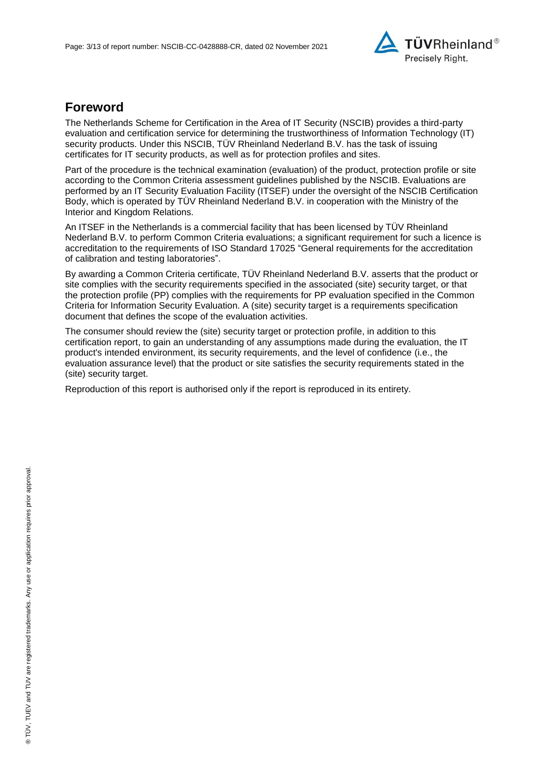

## **Foreword**

The Netherlands Scheme for Certification in the Area of IT Security (NSCIB) provides a third-party evaluation and certification service for determining the trustworthiness of Information Technology (IT) security products. Under this NSCIB, TÜV Rheinland Nederland B.V. has the task of issuing certificates for IT security products, as well as for protection profiles and sites.

Part of the procedure is the technical examination (evaluation) of the product, protection profile or site according to the Common Criteria assessment guidelines published by the NSCIB. Evaluations are performed by an IT Security Evaluation Facility (ITSEF) under the oversight of the NSCIB Certification Body, which is operated by TÜV Rheinland Nederland B.V. in cooperation with the Ministry of the Interior and Kingdom Relations.

An ITSEF in the Netherlands is a commercial facility that has been licensed by TÜV Rheinland Nederland B.V. to perform Common Criteria evaluations; a significant requirement for such a licence is accreditation to the requirements of ISO Standard 17025 "General requirements for the accreditation of calibration and testing laboratories".

By awarding a Common Criteria certificate, TÜV Rheinland Nederland B.V. asserts that the product or site complies with the security requirements specified in the associated (site) security target, or that the protection profile (PP) complies with the requirements for PP evaluation specified in the Common Criteria for Information Security Evaluation. A (site) security target is a requirements specification document that defines the scope of the evaluation activities.

The consumer should review the (site) security target or protection profile, in addition to this certification report, to gain an understanding of any assumptions made during the evaluation, the IT product's intended environment, its security requirements, and the level of confidence (i.e., the evaluation assurance level) that the product or site satisfies the security requirements stated in the (site) security target.

Reproduction of this report is authorised only if the report is reproduced in its entirety.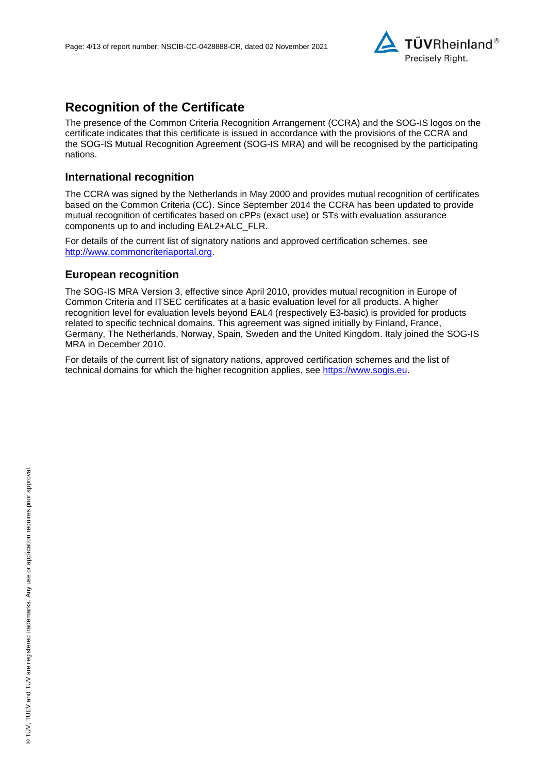

## **Recognition of the Certificate**

The presence of the Common Criteria Recognition Arrangement (CCRA) and the SOG-IS logos on the certificate indicates that this certificate is issued in accordance with the provisions of the CCRA and the SOG-IS Mutual Recognition Agreement (SOG-IS MRA) and will be recognised by the participating nations.

### **International recognition**

The CCRA was signed by the Netherlands in May 2000 and provides mutual recognition of certificates based on the Common Criteria (CC). Since September 2014 the CCRA has been updated to provide mutual recognition of certificates based on cPPs (exact use) or STs with evaluation assurance components up to and including EAL2+ALC\_FLR.

For details of the current list of signatory nations and approved certification schemes, see [http://www.commoncriteriaportal.org.](http://www.commoncriteriaportal.org/)

### **European recognition**

The SOG-IS MRA Version 3, effective since April 2010, provides mutual recognition in Europe of Common Criteria and ITSEC certificates at a basic evaluation level for all products. A higher recognition level for evaluation levels beyond EAL4 (respectively E3-basic) is provided for products related to specific technical domains. This agreement was signed initially by Finland, France, Germany, The Netherlands, Norway, Spain, Sweden and the United Kingdom. Italy joined the SOG-IS MRA in December 2010.

For details of the current list of signatory nations, approved certification schemes and the list of technical domains for which the higher recognition applies, see [https://www.sogis.eu.](https://www.sogis.eu/)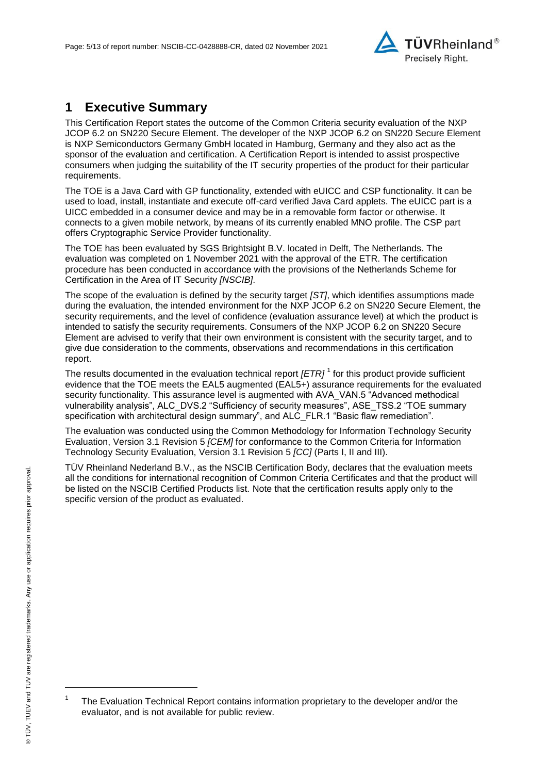<span id="page-4-2"></span>

## **1 Executive Summary**

This Certification Report states the outcome of the Common Criteria security evaluation of the [NXP](#page-0-3)  [JCOP 6.2 on SN220 Secure Element.](#page-0-3) The developer of the [NXP JCOP 6.2 on SN220 Secure Element](#page-0-3) is [NXP Semiconductors Germany GmbH](#page-0-4) located in Hamburg, Germany and they also act as the sponsor of the evaluation and certification. A Certification Report is intended to assist prospective consumers when judging the suitability of the IT security properties of the product for their particular requirements.

The TOE is a Java Card with GP functionality, extended with eUICC and CSP functionality. It can be used to load, install, instantiate and execute off-card verified Java Card applets. The eUICC part is a UICC embedded in a consumer device and may be in a removable form factor or otherwise. It connects to a given mobile network, by means of its currently enabled MNO profile. The CSP part offers Cryptographic Service Provider functionality.

The TOE has been evaluated by SGS Brightsight B.V. located in Delft, The Netherlands. The evaluation was completed on 1 November 2021 with the approval of the ETR. The certification procedure has been conducted in accordance with the provisions of the Netherlands Scheme for Certification in the Area of IT Security *[NSCIB]*.

The scope of the evaluation is defined by the security target *[ST]*, which identifies assumptions made during the evaluation, the intended environment for the [NXP JCOP 6.2 on SN220 Secure Element,](#page-0-3) the security requirements, and the level of confidence (evaluation assurance level) at which the product is intended to satisfy the security requirements. Consumers of the [NXP JCOP 6.2 on SN220 Secure](#page-0-3)  [Element](#page-0-3) are advised to verify that their own environment is consistent with the security target, and to give due consideration to the comments, observations and recommendations in this certification report.

<span id="page-4-0"></span>The results documented in the evaluation technical report *[ETR]* <sup>1</sup> for this product provide sufficient evidence that the TOE meets the EAL5 augmented (EA[L5+](#page-4-0)) assurance requirements for the evaluated security functionality. This assurance level is augmented with AVA\_VAN.5 "Advanced methodical vulnerability analysis", ALC\_DVS.2 "Sufficiency of security measures", ASE\_TSS.2 "TOE summary specification with architectural design summary", and ALC\_FLR.1 "Basic flaw remediation".

<span id="page-4-1"></span>The evaluation was conducted using the Common Methodology for Information Technology Security Evaluation, Version 3.1 Revision 5 *[CEM]* for conformance to the Common Criteria for Information Technology Security Evaluation, Version 3.1 Revision [5](#page-4-1) *[CC]* (Parts I, II and III).

TÜV Rheinland Nederland B.V., as the NSCIB Certification Body, declares that the evaluation meets all the conditions for international recognition of Common Criteria Certificates and that the product will be listed on the NSCIB Certified Products list. Note that the certification results apply only to the specific version of the product as evaluated.

l

<sup>1</sup> The Evaluation Technical Report contains information proprietary to the developer and/or the evaluator, and is not available for public review.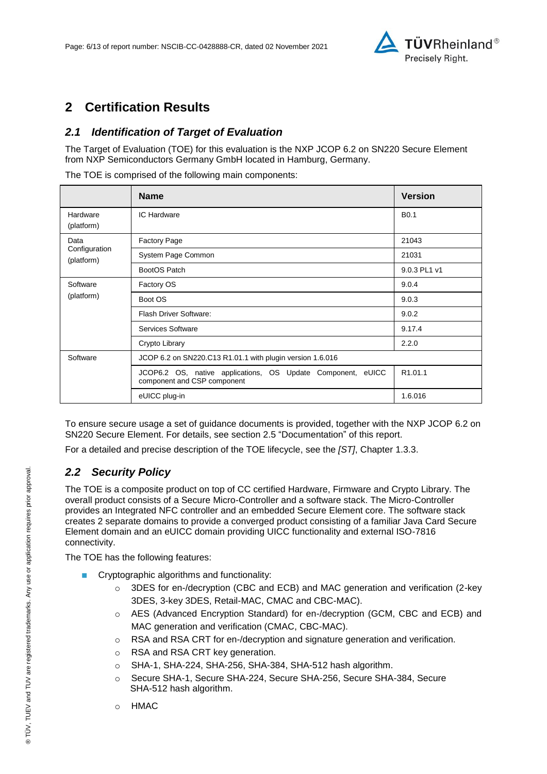

## **2 Certification Results**

## *2.1 Identification of Target of Evaluation*

The Target of Evaluation (TOE) for this evaluation is the [NXP JCOP 6.2 on SN220 Secure Element](#page-0-3) from [NXP Semiconductors Germany GmbH](#page-0-4) located in [Hamburg, Germany.](#page-4-2)

The TOE is comprised of the following main components:

|                                     | <b>Name</b>                                                                                | <b>Version</b>      |  |
|-------------------------------------|--------------------------------------------------------------------------------------------|---------------------|--|
| Hardware<br>(platform)              | IC Hardware                                                                                | <b>B0.1</b>         |  |
| Data<br>Configuration<br>(platform) | <b>Factory Page</b>                                                                        | 21043               |  |
|                                     | System Page Common                                                                         | 21031               |  |
|                                     | BootOS Patch                                                                               | 9.0.3 PL1 v1        |  |
| Software<br>(platform)              | Factory OS                                                                                 | 9.0.4               |  |
|                                     | Boot OS                                                                                    | 9.0.3               |  |
|                                     | Flash Driver Software:                                                                     | 9.0.2               |  |
|                                     | Services Software                                                                          | 9.17.4              |  |
|                                     | Crypto Library                                                                             | 2.2.0               |  |
| Software                            | JCOP 6.2 on SN220.C13 R1.01.1 with plugin version 1.6.016                                  |                     |  |
|                                     | JCOP6.2 OS, native applications, OS Update Component, eUICC<br>component and CSP component | R <sub>1.01.1</sub> |  |
|                                     | eUICC plug-in                                                                              | 1.6.016             |  |

To ensure secure usage a set of guidance documents is provided, together with the [NXP JCOP 6.2 on](#page-0-3)  [SN220 Secure Element.](#page-0-3) For details, see section [2.5](#page-7-0) ["Documentation"](#page-7-0) of this report.

For a detailed and precise description of the TOE lifecycle, see the *[ST]*, Chapter 1.3.3.

## *2.2 Security Policy*

The TOE is a composite product on top of CC certified Hardware, Firmware and Crypto Library. The overall product consists of a Secure Micro-Controller and a software stack. The Micro-Controller provides an Integrated NFC controller and an embedded Secure Element core. The software stack creates 2 separate domains to provide a converged product consisting of a familiar Java Card Secure Element domain and an eUICC domain providing UICC functionality and external ISO-7816 connectivity.

The TOE has the following features:

- Cryptographic algorithms and functionality:
	- o 3DES for en-/decryption (CBC and ECB) and MAC generation and verification (2-key 3DES, 3-key 3DES, Retail-MAC, CMAC and CBC-MAC).
	- o AES (Advanced Encryption Standard) for en-/decryption (GCM, CBC and ECB) and MAC generation and verification (CMAC, CBC-MAC).
	- $\circ$  RSA and RSA CRT for en-/decryption and signature generation and verification.
	- o RSA and RSA CRT key generation.
	- o SHA-1, SHA-224, SHA-256, SHA-384, SHA-512 hash algorithm.
	- o Secure SHA-1, Secure SHA-224, Secure SHA-256, Secure SHA-384, Secure SHA-512 hash algorithm.
	- o HMAC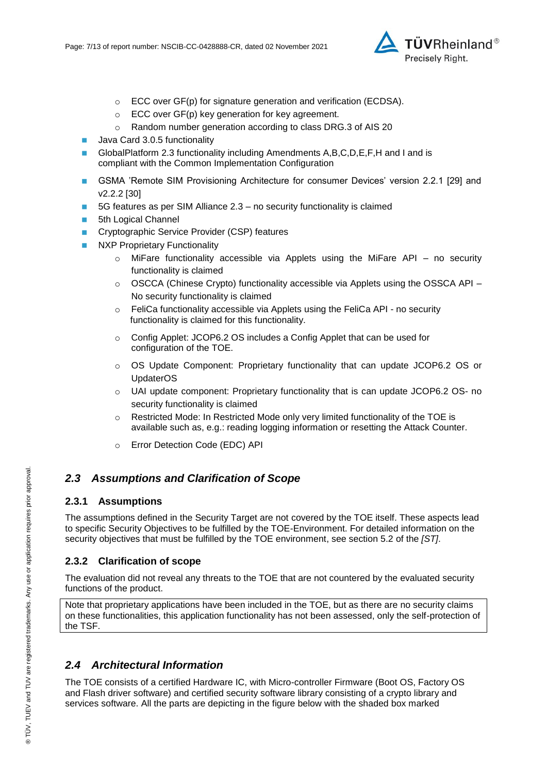

- o ECC over GF(p) for signature generation and verification (ECDSA).
- o ECC over GF(p) key generation for key agreement.
- o Random number generation according to class DRG.3 of AIS 20
- **Java Card 3.0.5 functionality**
- GlobalPlatform 2.3 functionality including Amendments A,B,C,D,E,F,H and I and is compliant with the Common Implementation Configuration
- GSMA 'Remote SIM Provisioning Architecture for consumer Devices' version 2.2.1 [29] and v2.2.2 [30]
- 5G features as per SIM Alliance 2.3 no security functionality is claimed
- **5th Logical Channel**
- Cryptographic Service Provider (CSP) features
- **NXP Proprietary Functionality** 
	- $\circ$  MiFare functionality accessible via Applets using the MiFare API no security functionality is claimed
	- $\circ$  OSCCA (Chinese Crypto) functionality accessible via Applets using the OSSCA API No security functionality is claimed
	- $\circ$  FeliCa functionality accessible via Applets using the FeliCa API no security functionality is claimed for this functionality.
	- o Config Applet: JCOP6.2 OS includes a Config Applet that can be used for configuration of the TOE.
	- o OS Update Component: Proprietary functionality that can update JCOP6.2 OS or **UpdaterOS**
	- o UAI update component: Proprietary functionality that is can update JCOP6.2 OS- no security functionality is claimed
	- o Restricted Mode: In Restricted Mode only very limited functionality of the TOE is available such as, e.g.: reading logging information or resetting the Attack Counter.
	- o Error Detection Code (EDC) API

## *2.3 Assumptions and Clarification of Scope*

#### **2.3.1 Assumptions**

The assumptions defined in the Security Target are not covered by the TOE itself. These aspects lead to specific Security Objectives to be fulfilled by the TOE-Environment. For detailed information on the security objectives that must be fulfilled by the TOE environment, see section 5.2 of the *[ST]*.

### **2.3.2 Clarification of scope**

The evaluation did not reveal any threats to the TOE that are not countered by the evaluated security functions of the product.

Note that proprietary applications have been included in the TOE, but as there are no security claims on these functionalities, this application functionality has not been assessed, only the self-protection of the TSF.

## *2.4 Architectural Information*

The TOE consists of a certified Hardware IC, with Micro-controller Firmware (Boot OS, Factory OS and Flash driver software) and certified security software library consisting of a crypto library and services software. All the parts are depicting in the figure below with the shaded box marked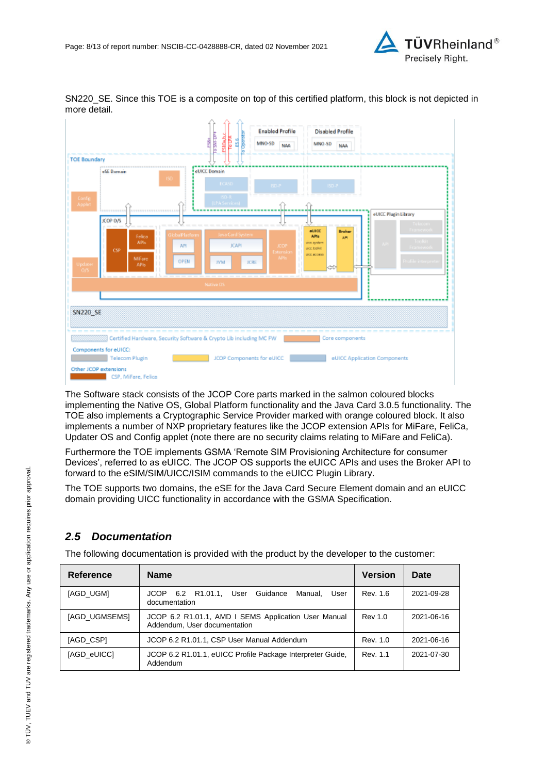





The Software stack consists of the JCOP Core parts marked in the salmon coloured blocks implementing the Native OS, Global Platform functionality and the Java Card 3.0.5 functionality. The TOE also implements a Cryptographic Service Provider marked with orange coloured block. It also implements a number of NXP proprietary features like the JCOP extension APIs for MiFare, FeliCa, Updater OS and Config applet (note there are no security claims relating to MiFare and FeliCa).

Furthermore the TOE implements GSMA 'Remote SIM Provisioning Architecture for consumer Devices', referred to as eUICC. The JCOP OS supports the eUICC APIs and uses the Broker API to forward to the eSIM/SIM/UICC/ISIM commands to the eUICC Plugin Library.

The TOE supports two domains, the eSE for the Java Card Secure Element domain and an eUICC domain providing UICC functionality in accordance with the GSMA Specification.

## <span id="page-7-0"></span>*2.5 Documentation*

The following documentation is provided with the product by the developer to the customer:

| Reference     | <b>Name</b>                                                                          | <b>Version</b> | Date       |
|---------------|--------------------------------------------------------------------------------------|----------------|------------|
| [AGD_UGM]     | R1.01.1. User<br>Guidance<br>Manual.<br><b>JCOP</b><br>6.2<br>User<br>documentation  | Rev. 1.6       | 2021-09-28 |
| [AGD UGMSEMS] | JCOP 6.2 R1.01.1, AMD I SEMS Application User Manual<br>Addendum, User documentation | <b>Rev 1.0</b> | 2021-06-16 |
| [AGD_CSP]     | JCOP 6.2 R1.01.1, CSP User Manual Addendum                                           | Rev. 1.0       | 2021-06-16 |
| [AGD_eUICC]   | JCOP 6.2 R1.01.1, eUICC Profile Package Interpreter Guide,<br>Addendum               | Rev. 1.1       | 2021-07-30 |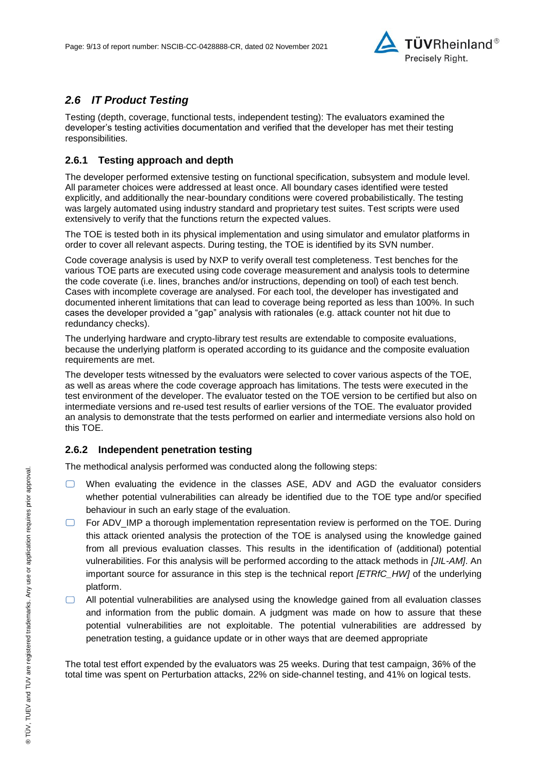

## *2.6 IT Product Testing*

Testing (depth, coverage, functional tests, independent testing): The evaluators examined the developer's testing activities documentation and verified that the developer has met their testing responsibilities.

### **2.6.1 Testing approach and depth**

The developer performed extensive testing on functional specification, subsystem and module level. All parameter choices were addressed at least once. All boundary cases identified were tested explicitly, and additionally the near-boundary conditions were covered probabilistically. The testing was largely automated using industry standard and proprietary test suites. Test scripts were used extensively to verify that the functions return the expected values.

The TOE is tested both in its physical implementation and using simulator and emulator platforms in order to cover all relevant aspects. During testing, the TOE is identified by its SVN number.

Code coverage analysis is used by NXP to verify overall test completeness. Test benches for the various TOE parts are executed using code coverage measurement and analysis tools to determine the code coverate (i.e. lines, branches and/or instructions, depending on tool) of each test bench. Cases with incomplete coverage are analysed. For each tool, the developer has investigated and documented inherent limitations that can lead to coverage being reported as less than 100%. In such cases the developer provided a "gap" analysis with rationales (e.g. attack counter not hit due to redundancy checks).

The underlying hardware and crypto-library test results are extendable to composite evaluations, because the underlying platform is operated according to its guidance and the composite evaluation requirements are met.

The developer tests witnessed by the evaluators were selected to cover various aspects of the TOE, as well as areas where the code coverage approach has limitations. The tests were executed in the test environment of the developer. The evaluator tested on the TOE version to be certified but also on intermediate versions and re-used test results of earlier versions of the TOE. The evaluator provided an analysis to demonstrate that the tests performed on earlier and intermediate versions also hold on this TOE.

### **2.6.2 Independent penetration testing**

The methodical analysis performed was conducted along the following steps:

- $\Box$  When evaluating the evidence in the classes ASE, ADV and AGD the evaluator considers whether potential vulnerabilities can already be identified due to the TOE type and/or specified behaviour in such an early stage of the evaluation.
- □ For ADV\_IMP a thorough implementation representation review is performed on the TOE. During this attack oriented analysis the protection of the TOE is analysed using the knowledge gained from all previous evaluation classes. This results in the identification of (additional) potential vulnerabilities. For this analysis will be performed according to the attack methods in *[JIL-AM]*. An important source for assurance in this step is the technical report *[ETRfC\_HW]* of the underlying platform.
- $\Box$  All potential vulnerabilities are analysed using the knowledge gained from all evaluation classes and information from the public domain. A judgment was made on how to assure that these potential vulnerabilities are not exploitable. The potential vulnerabilities are addressed by penetration testing, a guidance update or in other ways that are deemed appropriate

The total test effort expended by the evaluators was 25 weeks. During that test campaign, 36% of the total time was spent on Perturbation attacks, 22% on side-channel testing, and 41% on logical tests.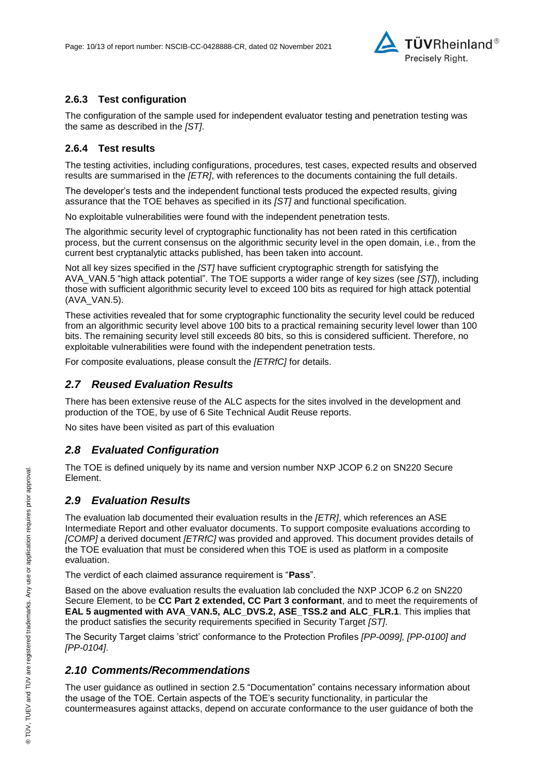

### **2.6.3 Test configuration**

The configuration of the sample used for independent evaluator testing and penetration testing was the same as described in the *[ST]*.

#### **2.6.4 Test results**

The testing activities, including configurations, procedures, test cases, expected results and observed results are summarised in the *[ETR]*, with references to the documents containing the full details.

The developer's tests and the independent functional tests produced the expected results, giving assurance that the TOE behaves as specified in its *[ST]* and functional specification.

No exploitable vulnerabilities were found with the independent penetration tests.

The algorithmic security level of cryptographic functionality has not been rated in this certification process, but the current consensus on the algorithmic security level in the open domain, i.e., from the current best cryptanalytic attacks published, has been taken into account.

Not all key sizes specified in the *[ST]* have sufficient cryptographic strength for satisfying the AVA\_VAN.5 "high attack potential". The TOE supports a wider range of key sizes (see *[ST]*), including those with sufficient algorithmic security level to exceed 100 bits as required for high attack potential (AVA\_VAN.5).

These activities revealed that for some cryptographic functionality the security level could be reduced from an algorithmic security level above 100 bits to a practical remaining security level lower than 100 bits. The remaining security level still exceeds 80 bits, so this is considered sufficient. Therefore, no exploitable vulnerabilities were found with the independent penetration tests.

For composite evaluations, please consult the *[ETRfC]* for details.

### *2.7 Reused Evaluation Results*

There has been extensive reuse of the ALC aspects for the sites involved in the development and production of the TOE, by use of 6 Site Technical Audit Reuse reports.

No sites have been visited as part of this evaluation

### *2.8 Evaluated Configuration*

The TOE is defined uniquely by its name and version number [NXP JCOP 6.2 on SN220 Secure](#page-0-3)  [Element.](#page-0-3)

### *2.9 Evaluation Results*

The evaluation lab documented their evaluation results in the *[ETR]*, which references an ASE Intermediate Report and other evaluator documents. To support composite evaluations according to *[COMP]* a derived document *[ETRfC]* was provided and approved. This document provides details of the TOE evaluation that must be considered when this TOE is used as platform in a composite evaluation.

The verdict of each claimed assurance requirement is "**Pass**".

Based on the above evaluation results the evaluation lab concluded the [NXP JCOP 6.2 on SN220](#page-0-3)  [Secure Element,](#page-0-3) to be **CC Part 2 extended, CC Part 3 conformant**, and to meet the requirements of **EAL [5](#page-4-0) augmented with AVA\_VAN.5, ALC\_DVS.2, ASE\_TSS.2 and ALC\_FLR.1**. This implies that the product satisfies the security requirements specified in Security Target *[ST]*.

The Security Target claims 'strict' conformance to the Protection Profiles *[PP-0099], [PP-0100] and [PP-0104]*.

### *2.10 Comments/Recommendations*

The user guidance as outlined in section [2.5](#page-7-0) ["Documentation"](#page-7-0) contains necessary information about the usage of the TOE. Certain aspects of the TOE's security functionality, in particular the countermeasures against attacks, depend on accurate conformance to the user guidance of both the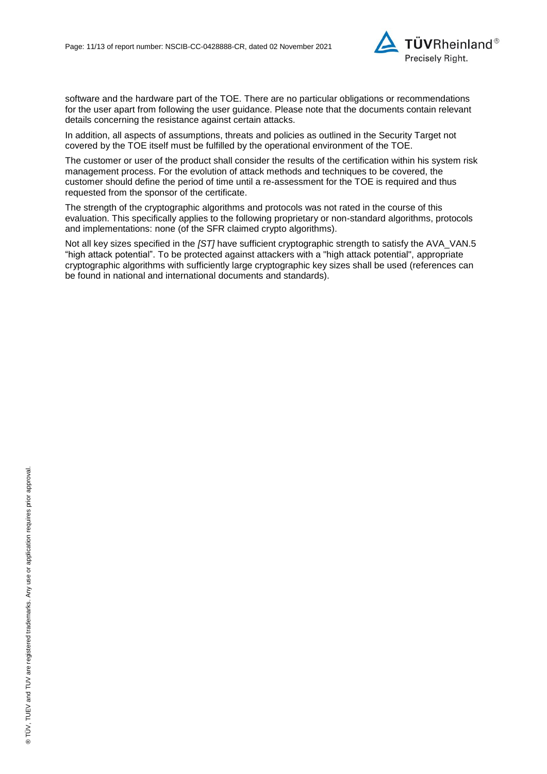

software and the hardware part of the TOE. There are no particular obligations or recommendations for the user apart from following the user guidance. Please note that the documents contain relevant details concerning the resistance against certain attacks.

In addition, all aspects of assumptions, threats and policies as outlined in the Security Target not covered by the TOE itself must be fulfilled by the operational environment of the TOE.

The customer or user of the product shall consider the results of the certification within his system risk management process. For the evolution of attack methods and techniques to be covered, the customer should define the period of time until a re-assessment for the TOE is required and thus requested from the sponsor of the certificate.

The strength of the cryptographic algorithms and protocols was not rated in the course of this evaluation. This specifically applies to the following proprietary or non-standard algorithms, protocols and implementations: none (of the SFR claimed crypto algorithms).

Not all key sizes specified in the *[ST]* have sufficient cryptographic strength to satisfy the AVA\_VAN.5 "high attack potential". To be protected against attackers with a "high attack potential", appropriate cryptographic algorithms with sufficiently large cryptographic key sizes shall be used (references can be found in national and international documents and standards).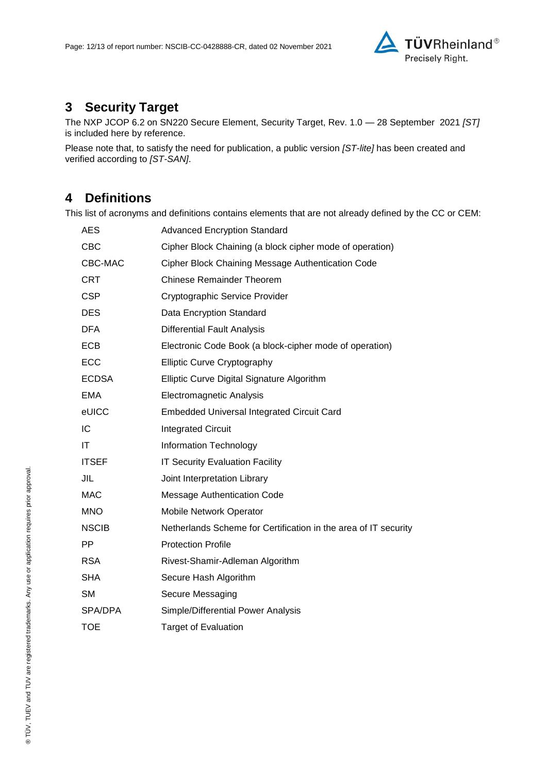

## **3 Security Target**

The [NXP JCOP 6.2 on SN220 Secure Element, Security Target, Rev. 1.0 —](#page-12-0) 28 September 2021 *[ST]* is included here by reference.

Please note that, to satisfy the need for publication, a public version *[ST-lite]* has been created and verified according to *[ST-SAN]*.

## **4 Definitions**

This list of acronyms and definitions contains elements that are not already defined by the CC or CEM:

| AES          | <b>Advanced Encryption Standard</b>                             |
|--------------|-----------------------------------------------------------------|
| <b>CBC</b>   | Cipher Block Chaining (a block cipher mode of operation)        |
| CBC-MAC      | Cipher Block Chaining Message Authentication Code               |
| <b>CRT</b>   | <b>Chinese Remainder Theorem</b>                                |
| <b>CSP</b>   | Cryptographic Service Provider                                  |
| <b>DES</b>   | Data Encryption Standard                                        |
| <b>DFA</b>   | <b>Differential Fault Analysis</b>                              |
| <b>ECB</b>   | Electronic Code Book (a block-cipher mode of operation)         |
| ECC          | <b>Elliptic Curve Cryptography</b>                              |
| <b>ECDSA</b> | Elliptic Curve Digital Signature Algorithm                      |
| <b>EMA</b>   | <b>Electromagnetic Analysis</b>                                 |
| eUICC        | <b>Embedded Universal Integrated Circuit Card</b>               |
| IC           | <b>Integrated Circuit</b>                                       |
| ΙT           | Information Technology                                          |
| <b>ITSEF</b> | <b>IT Security Evaluation Facility</b>                          |
| JIL          | Joint Interpretation Library                                    |
| <b>MAC</b>   | Message Authentication Code                                     |
| <b>MNO</b>   | Mobile Network Operator                                         |
| <b>NSCIB</b> | Netherlands Scheme for Certification in the area of IT security |
| PP           | <b>Protection Profile</b>                                       |
| <b>RSA</b>   | Rivest-Shamir-Adleman Algorithm                                 |
| <b>SHA</b>   | Secure Hash Algorithm                                           |
| <b>SM</b>    | Secure Messaging                                                |
| SPA/DPA      | Simple/Differential Power Analysis                              |
| <b>TOE</b>   | <b>Target of Evaluation</b>                                     |